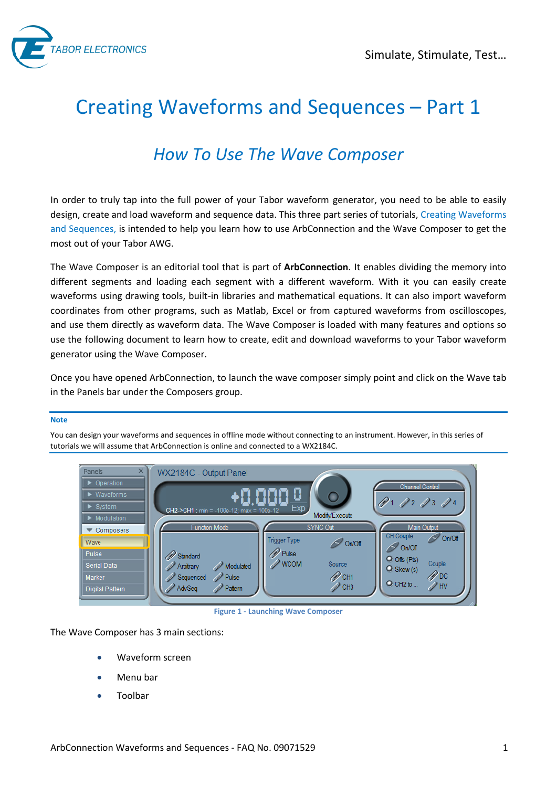

# Creating Waveforms and Sequences – Part 1

# *How To Use The Wave Composer*

In order to truly tap into the full power of your Tabor waveform generator, you need to be able to easily design, create and load waveform and sequence data. This three part series of tutorials, Creating Waveforms and Sequences, is intended to help you learn how to use ArbConnection and the Wave Composer to get the most out of your Tabor AWG.

The Wave Composer is an editorial tool that is part of **ArbConnection**. It enables dividing the memory into different segments and loading each segment with a different waveform. With it you can easily create waveforms using drawing tools, built-in libraries and mathematical equations. It can also import waveform coordinates from other programs, such as Matlab, Excel or from captured waveforms from oscilloscopes, and use them directly as waveform data. The Wave Composer is loaded with many features and options so use the following document to learn how to create, edit and download waveforms to your Tabor waveform generator using the Wave Composer.

Once you have opened ArbConnection, to launch the wave composer simply point and click on the Wave tab in the Panels bar under the Composers group.

#### **Note**

You can design your waveforms and sequences in offline mode without connecting to an instrument. However, in this series of tutorials we will assume that ArbConnection is online and connected to a WX2184C.



**Figure 1 - Launching Wave Composer** 

The Wave Composer has 3 main sections:

- Waveform screen
- Menu bar
- Toolbar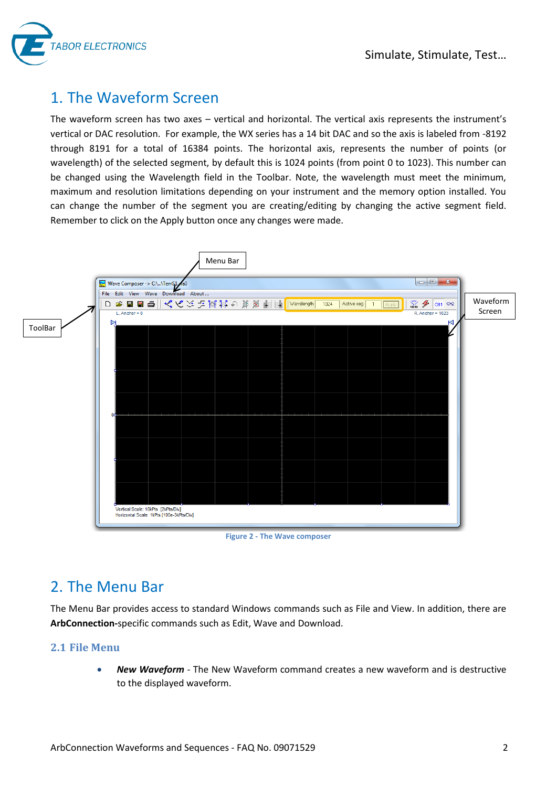

### 1. The Waveform Screen

The waveform screen has two axes – vertical and horizontal. The vertical axis represents the instrument's vertical or DAC resolution. For example, the WX series has a 14 bit DAC and so the axis is labeled from -8192 through 8191 for a total of 16384 points. The horizontal axis, represents the number of points (or wavelength) of the selected segment, by default this is 1024 points (from point 0 to 1023). This number can be changed using the Wavelength field in the Toolbar. Note, the wavelength must meet the minimum, maximum and resolution limitations depending on your instrument and the memory option installed. You can change the number of the segment you are creating/editing by changing the active segment field. Remember to click on the Apply button once any changes were made.



**Figure 2 - The Wave composer** 

# 2. The Menu Bar

The Menu Bar provides access to standard Windows commands such as File and View. In addition, there are **ArbConnection-**specific commands such as Edit, Wave and Download.

#### **2.1 File Menu**

 *New Waveform* - The New Waveform command creates a new waveform and is destructive to the displayed waveform.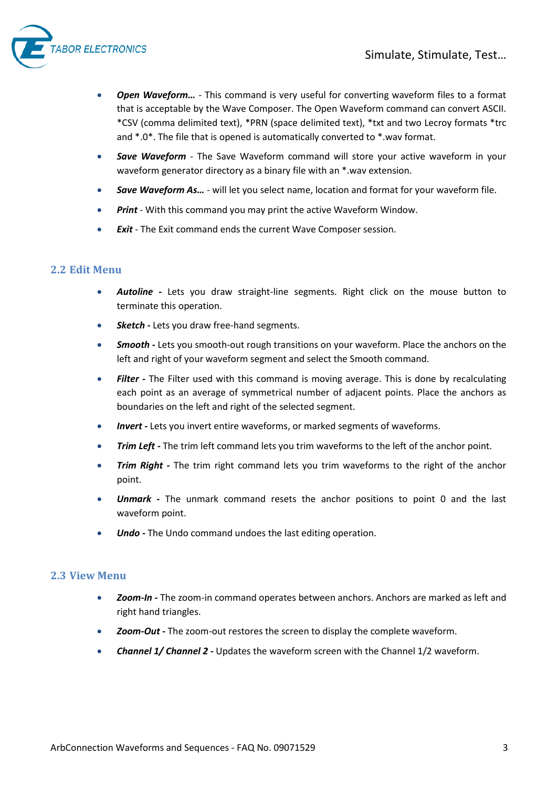

- *Open Waveform…*  This command is very useful for converting waveform files to a format that is acceptable by the Wave Composer. The Open Waveform command can convert ASCII. \*CSV (comma delimited text), \*PRN (space delimited text), \*txt and two Lecroy formats \*trc and \*.0\*. The file that is opened is automatically converted to \*.wav format.
- *Save Waveform*  The Save Waveform command will store your active waveform in your waveform generator directory as a binary file with an \*.wav extension.
- *Save Waveform As…*  will let you select name, location and format for your waveform file.
- *Print*  With this command you may print the active Waveform Window.
- *Exit*  The Exit command ends the current Wave Composer session.

#### **2.2 Edit Menu**

- *Autoline* Lets you draw straight-line segments. Right click on the mouse button to terminate this operation.
- **Sketch Lets you draw free-hand segments.**
- **Smooth Lets you smooth-out rough transitions on your waveform. Place the anchors on the** left and right of your waveform segment and select the Smooth command.
- Filter The Filter used with this command is moving average. This is done by recalculating each point as an average of symmetrical number of adjacent points. Place the anchors as boundaries on the left and right of the selected segment.
- *Invert* Lets you invert entire waveforms, or marked segments of waveforms.
- *Trim Left* The trim left command lets you trim waveforms to the left of the anchor point.
- **Trim Right** The trim right command lets you trim waveforms to the right of the anchor point.
- *Unmark* The unmark command resets the anchor positions to point 0 and the last waveform point.
- *Undo* The Undo command undoes the last editing operation.

#### **2.3 View Menu**

- *Zoom-In* The zoom-in command operates between anchors. Anchors are marked as left and right hand triangles.
- *Zoom-Out* The zoom-out restores the screen to display the complete waveform.
- *Channel 1/ Channel 2* Updates the waveform screen with the Channel 1/2 waveform.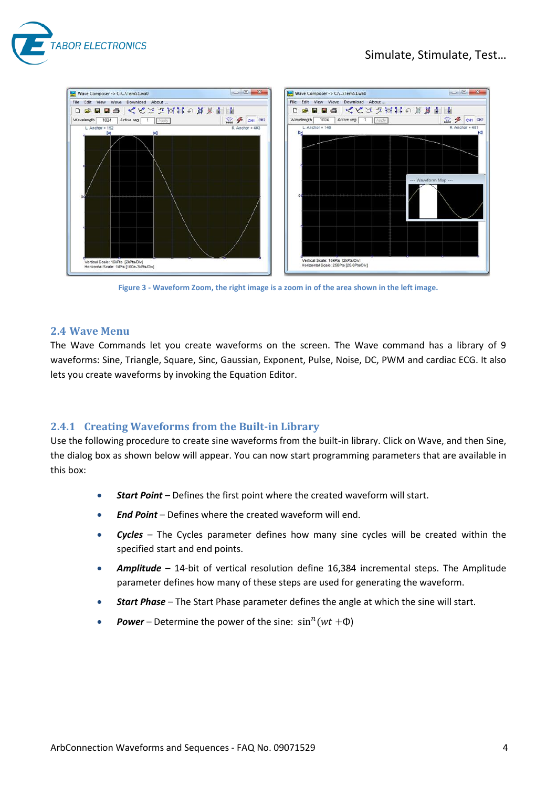

#### Simulate, Stimulate, Test…



**Figure 3 - Waveform Zoom, the right image is a zoom in of the area shown in the left image.** 

#### **2.4 Wave Menu**

The Wave Commands let you create waveforms on the screen. The Wave command has a library of 9 waveforms: Sine, Triangle, Square, Sinc, Gaussian, Exponent, Pulse, Noise, DC, PWM and cardiac ECG. It also lets you create waveforms by invoking the Equation Editor.

#### **2.4.1 Creating Waveforms from the Built-in Library**

Use the following procedure to create sine waveforms from the built-in library. Click on Wave, and then Sine, the dialog box as shown below will appear. You can now start programming parameters that are available in this box:

- *Start Point* Defines the first point where the created waveform will start.
- *End Point* Defines where the created waveform will end.
- *Cycles* The Cycles parameter defines how many sine cycles will be created within the specified start and end points.
- *Amplitude* 14-bit of vertical resolution define 16,384 incremental steps. The Amplitude parameter defines how many of these steps are used for generating the waveform.
- *Start Phase* The Start Phase parameter defines the angle at which the sine will start.
- **Power** Determine the power of the sine:  $sin^n(wt + \Phi)$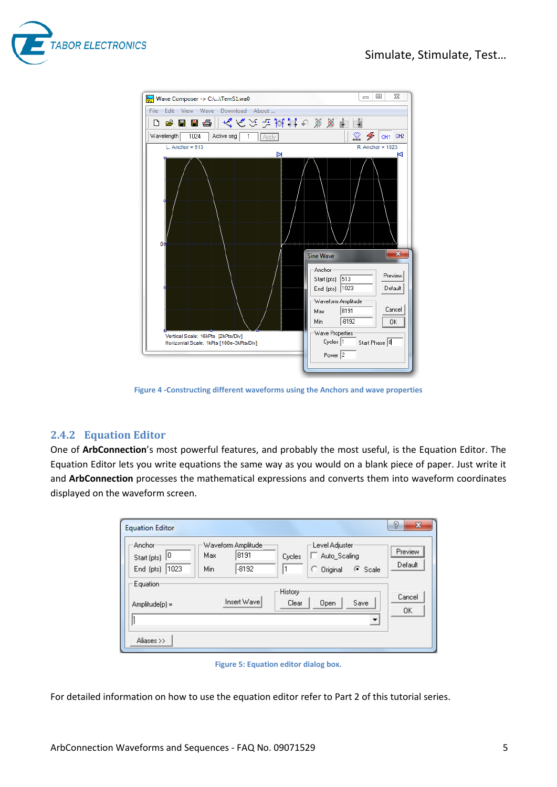



**Figure 4 -Constructing different waveforms using the Anchors and wave properties** 

#### **2.4.2 Equation Editor**

One of **ArbConnection**'s most powerful features, and probably the most useful, is the Equation Editor. The Equation Editor lets you write equations the same way as you would on a blank piece of paper. Just write it and **ArbConnection** processes the mathematical expressions and converts them into waveform coordinates displayed on the waveform screen.

| <b>Equation Editor</b>                           |                                                     |                                                             |                          | g<br>$\mathbf{x}$  |
|--------------------------------------------------|-----------------------------------------------------|-------------------------------------------------------------|--------------------------|--------------------|
| Anchor<br>10<br>Start (pts)<br>1023<br>End (pts) | Waveform Amplitude<br>8191<br>Max<br>$-8192$<br>Min | Level Adjuster<br>Auto_Scaling<br>Cycles<br>C Original<br>1 | $\odot$ Scale            | Preview<br>Default |
| Equation<br>$Amplitude(p) =$                     | Insert Wave                                         | History <sup>-</sup><br>Clear<br>Open                       | Save                     | Cancel<br>ΟK       |
| Aliases >>                                       |                                                     |                                                             | $\overline{\phantom{a}}$ |                    |

**Figure 5: Equation editor dialog box.**

For detailed information on how to use the equation editor refer to Part 2 of this tutorial series.